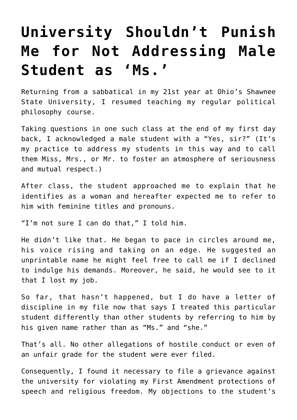## **[University Shouldn't Punish](https://intellectualtakeout.org/2020/08/university-shouldnt-punish-me-for-not-addressing-male-student-as-ms/) [Me for Not Addressing Male](https://intellectualtakeout.org/2020/08/university-shouldnt-punish-me-for-not-addressing-male-student-as-ms/) [Student as 'Ms.'](https://intellectualtakeout.org/2020/08/university-shouldnt-punish-me-for-not-addressing-male-student-as-ms/)**

Returning from a sabbatical in my 21st year at Ohio's Shawnee State University, I resumed teaching my regular political philosophy course.

Taking questions in one such class at the end of my first day back, I acknowledged a male student with a "Yes, sir?" (It's my practice to address my students in this way and to call them Miss, Mrs., or Mr. to foster an atmosphere of seriousness and mutual respect.)

After class, the student approached me to explain that he identifies as a woman and hereafter expected me to refer to him with feminine titles and pronouns.

"I'm not sure I can do that," I told him.

He didn't like that. He began to pace in circles around me, his voice rising and taking on an edge. He suggested an unprintable name he might feel free to call me if I declined to indulge his demands. Moreover, he said, he would see to it that I lost my job.

So far, that hasn't happened, but I do have a letter of discipline in my file now that says I treated this particular student differently than other students by referring to him by his given name rather than as "Ms." and "she."

That's all. No other allegations of hostile conduct or even of an unfair grade for the student were ever filed.

Consequently, I found it necessary to file a grievance against the university for violating my First Amendment protections of speech and religious freedom. My objections to the student's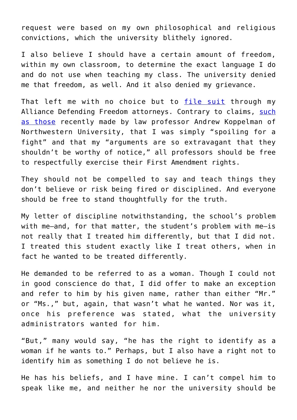request were based on my own philosophical and religious convictions, which the university blithely ignored.

I also believe I should have a certain amount of freedom, within my own classroom, to determine the exact language I do and do not use when teaching my class. The university denied me that freedom, as well. And it also denied my grievance.

That left me with no choice but to [file suit](https://protect-us.mimecast.com/s/P4Z1Co264otKpWpzSzV7WE?domain=adflegal.org) through my Alliance Defending Freedom attorneys. Contrary to claims, [such](https://protect-us.mimecast.com/s/XoXNCpYX5psxE6E8FYkFNb?domain=thehill.com) [as those](https://protect-us.mimecast.com/s/XoXNCpYX5psxE6E8FYkFNb?domain=thehill.com) recently made by law professor Andrew Koppelman of Northwestern University, that I was simply "spoiling for a fight" and that my "arguments are so extravagant that they shouldn't be worthy of notice," all professors should be free to respectfully exercise their First Amendment rights.

They should not be compelled to say and teach things they don't believe or risk being fired or disciplined. And everyone should be free to stand thoughtfully for the truth.

My letter of discipline notwithstanding, the school's problem with me-and, for that matter, the student's problem with me-is not really that I treated him differently, but that I did not. I treated this student exactly like I treat others, when in fact he wanted to be treated differently.

He demanded to be referred to as a woman. Though I could not in good conscience do that, I did offer to make an exception and refer to him by his given name, rather than either "Mr." or "Ms.," but, again, that wasn't what he wanted. Nor was it, once his preference was stated, what the university administrators wanted for him.

"But," many would say, "he has the right to identify as a woman if he wants to." Perhaps, but I also have a right not to identify him as something I do not believe he is.

He has his beliefs, and I have mine. I can't compel him to speak like me, and neither he nor the university should be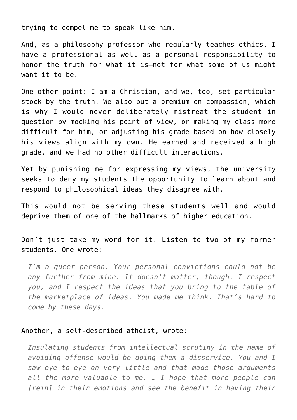trying to compel me to speak like him.

And, as a philosophy professor who regularly teaches ethics, I have a professional as well as a personal responsibility to honor the truth for what it is—not for what some of us might want it to be.

One other point: I am a Christian, and we, too, set particular stock by the truth. We also put a premium on compassion, which is why I would never deliberately mistreat the student in question by mocking his point of view, or making my class more difficult for him, or adjusting his grade based on how closely his views align with my own. He earned and received a high grade, and we had no other difficult interactions.

Yet by punishing me for expressing my views, the university seeks to deny my students the opportunity to learn about and respond to philosophical ideas they disagree with.

This would not be serving these students well and would deprive them of one of the hallmarks of higher education.

Don't just take my word for it. Listen to two of my former students. One wrote:

*I'm a queer person. Your personal convictions could not be any further from mine. It doesn't matter, though. I respect you, and I respect the ideas that you bring to the table of the marketplace of ideas. You made me think. That's hard to come by these days.*

## Another, a self-described atheist, wrote:

*Insulating students from intellectual scrutiny in the name of avoiding offense would be doing them a disservice. You and I saw eye-to-eye on very little and that made those arguments all the more valuable to me. … I hope that more people can [rein] in their emotions and see the benefit in having their*